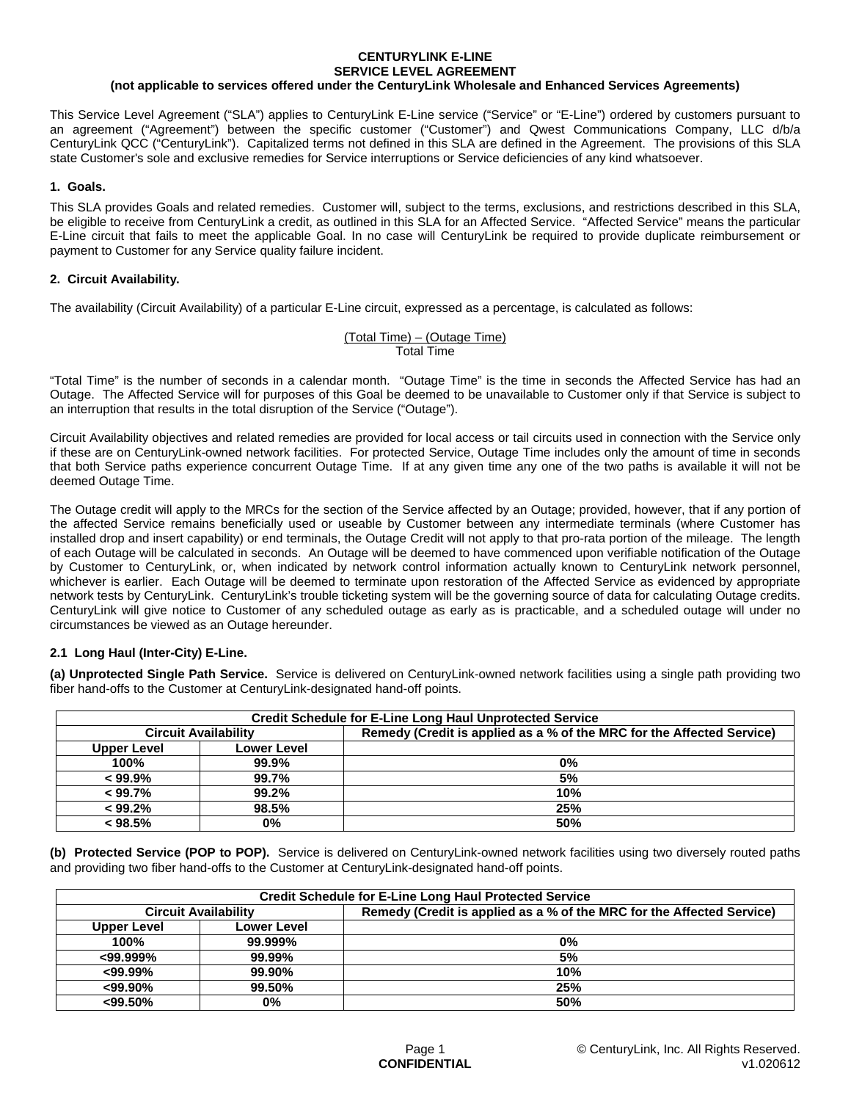#### **CENTURYLINK E-LINE SERVICE LEVEL AGREEMENT (not applicable to services offered under the CenturyLink Wholesale and Enhanced Services Agreements)**

This Service Level Agreement ("SLA") applies to CenturyLink E-Line service ("Service" or "E-Line") ordered by customers pursuant to an agreement ("Agreement") between the specific customer ("Customer") and Qwest Communications Company, LLC d/b/a CenturyLink QCC ("CenturyLink"). Capitalized terms not defined in this SLA are defined in the Agreement. The provisions of this SLA state Customer's sole and exclusive remedies for Service interruptions or Service deficiencies of any kind whatsoever.

## **1. Goals.**

This SLA provides Goals and related remedies. Customer will, subject to the terms, exclusions, and restrictions described in this SLA, be eligible to receive from CenturyLink a credit, as outlined in this SLA for an Affected Service. "Affected Service" means the particular E-Line circuit that fails to meet the applicable Goal. In no case will CenturyLink be required to provide duplicate reimbursement or payment to Customer for any Service quality failure incident.

## **2. Circuit Availability.**

The availability (Circuit Availability) of a particular E-Line circuit, expressed as a percentage, is calculated as follows:

### (Total Time) – (Outage Time) Total Time

"Total Time" is the number of seconds in a calendar month. "Outage Time" is the time in seconds the Affected Service has had an Outage. The Affected Service will for purposes of this Goal be deemed to be unavailable to Customer only if that Service is subject to an interruption that results in the total disruption of the Service ("Outage").

Circuit Availability objectives and related remedies are provided for local access or tail circuits used in connection with the Service only if these are on CenturyLink-owned network facilities. For protected Service, Outage Time includes only the amount of time in seconds that both Service paths experience concurrent Outage Time. If at any given time any one of the two paths is available it will not be deemed Outage Time.

The Outage credit will apply to the MRCs for the section of the Service affected by an Outage; provided, however, that if any portion of the affected Service remains beneficially used or useable by Customer between any intermediate terminals (where Customer has installed drop and insert capability) or end terminals, the Outage Credit will not apply to that pro-rata portion of the mileage. The length of each Outage will be calculated in seconds. An Outage will be deemed to have commenced upon verifiable notification of the Outage by Customer to CenturyLink, or, when indicated by network control information actually known to CenturyLink network personnel, whichever is earlier. Each Outage will be deemed to terminate upon restoration of the Affected Service as evidenced by appropriate network tests by CenturyLink. CenturyLink's trouble ticketing system will be the governing source of data for calculating Outage credits. CenturyLink will give notice to Customer of any scheduled outage as early as is practicable, and a scheduled outage will under no circumstances be viewed as an Outage hereunder.

# **2.1 Long Haul (Inter-City) E-Line.**

**(a) Unprotected Single Path Service.** Service is delivered on CenturyLink-owned network facilities using a single path providing two fiber hand-offs to the Customer at CenturyLink-designated hand-off points.

| <b>Credit Schedule for E-Line Long Haul Unprotected Service</b> |                    |                                                                       |  |  |
|-----------------------------------------------------------------|--------------------|-----------------------------------------------------------------------|--|--|
| <b>Circuit Availability</b>                                     |                    | Remedy (Credit is applied as a % of the MRC for the Affected Service) |  |  |
| <b>Upper Level</b>                                              | <b>Lower Level</b> |                                                                       |  |  |
| 100%                                                            | 99.9%              | 0%                                                                    |  |  |
| $< 99.9\%$                                                      | 99.7%              | 5%                                                                    |  |  |
| $< 99.7\%$                                                      | 99.2%              | 10%                                                                   |  |  |
| < 99.2%                                                         | 98.5%              | 25%                                                                   |  |  |
| < 98.5%                                                         | 0%                 | 50%                                                                   |  |  |

**(b) Protected Service (POP to POP).** Service is delivered on CenturyLink-owned network facilities using two diversely routed paths and providing two fiber hand-offs to the Customer at CenturyLink-designated hand-off points.

| <b>Credit Schedule for E-Line Long Haul Protected Service</b> |             |                                                                       |  |  |
|---------------------------------------------------------------|-------------|-----------------------------------------------------------------------|--|--|
| <b>Circuit Availability</b>                                   |             | Remedy (Credit is applied as a % of the MRC for the Affected Service) |  |  |
| Upper Level                                                   | Lower Level |                                                                       |  |  |
| 100%                                                          | 99.999%     | 0%                                                                    |  |  |
| $<$ 99.999%                                                   | 99.99%      | 5%                                                                    |  |  |
| $<$ 99.99%                                                    | 99.90%      | 10%                                                                   |  |  |
| $<$ 99.90%                                                    | 99.50%      | 25%                                                                   |  |  |
| $<$ 99.50%                                                    | 0%          | 50%                                                                   |  |  |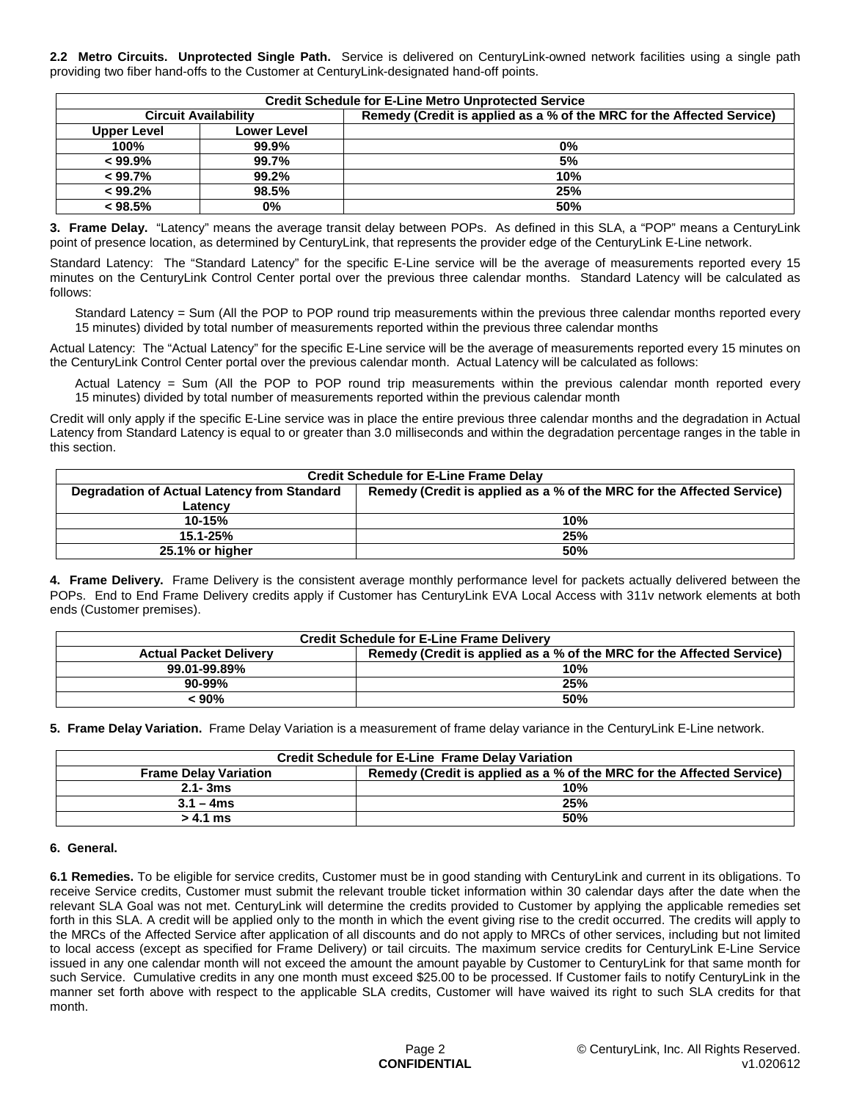**2.2 Metro Circuits. Unprotected Single Path.** Service is delivered on CenturyLink-owned network facilities using a single path providing two fiber hand-offs to the Customer at CenturyLink-designated hand-off points.

| <b>Credit Schedule for E-Line Metro Unprotected Service</b> |                    |                                                                       |  |  |
|-------------------------------------------------------------|--------------------|-----------------------------------------------------------------------|--|--|
| <b>Circuit Availability</b>                                 |                    | Remedy (Credit is applied as a % of the MRC for the Affected Service) |  |  |
| Upper Level                                                 | <b>Lower Level</b> |                                                                       |  |  |
| 100%                                                        | 99.9%              | 0%                                                                    |  |  |
| $< 99.9\%$                                                  | 99.7%              | 5%                                                                    |  |  |
| $< 99.7\%$                                                  | 99.2%              | 10%                                                                   |  |  |
| < 99.2%                                                     | 98.5%              | 25%                                                                   |  |  |
| < 98.5%                                                     | 0%                 | 50%                                                                   |  |  |

**3. Frame Delay.** "Latency" means the average transit delay between POPs. As defined in this SLA, a "POP" means a CenturyLink point of presence location, as determined by CenturyLink, that represents the provider edge of the CenturyLink E-Line network.

Standard Latency: The "Standard Latency" for the specific E-Line service will be the average of measurements reported every 15 minutes on the CenturyLink Control Center portal over the previous three calendar months. Standard Latency will be calculated as follows:

Standard Latency = Sum (All the POP to POP round trip measurements within the previous three calendar months reported every 15 minutes) divided by total number of measurements reported within the previous three calendar months

Actual Latency: The "Actual Latency" for the specific E-Line service will be the average of measurements reported every 15 minutes on the CenturyLink Control Center portal over the previous calendar month. Actual Latency will be calculated as follows:

Actual Latency = Sum (All the POP to POP round trip measurements within the previous calendar month reported every 15 minutes) divided by total number of measurements reported within the previous calendar month

Credit will only apply if the specific E-Line service was in place the entire previous three calendar months and the degradation in Actual Latency from Standard Latency is equal to or greater than 3.0 milliseconds and within the degradation percentage ranges in the table in this section.

| <b>Credit Schedule for E-Line Frame Delay</b> |                                                                       |  |
|-----------------------------------------------|-----------------------------------------------------------------------|--|
| Degradation of Actual Latency from Standard   | Remedy (Credit is applied as a % of the MRC for the Affected Service) |  |
| Latencv                                       |                                                                       |  |
| $10 - 15%$                                    | 10%                                                                   |  |
| $15.1 - 25%$                                  | 25%                                                                   |  |
| 25.1% or higher                               | <b>50%</b>                                                            |  |

**4. Frame Delivery.** Frame Delivery is the consistent average monthly performance level for packets actually delivered between the POPs. End to End Frame Delivery credits apply if Customer has CenturyLink EVA Local Access with 311v network elements at both ends (Customer premises).

| <b>Credit Schedule for E-Line Frame Delivery</b> |                                                                       |  |
|--------------------------------------------------|-----------------------------------------------------------------------|--|
| <b>Actual Packet Delivery</b>                    | Remedy (Credit is applied as a % of the MRC for the Affected Service) |  |
| 99.01-99.89%                                     | 10%                                                                   |  |
| $90 - 99%$                                       | 25%                                                                   |  |
| 90% >                                            | 50%                                                                   |  |

**5. Frame Delay Variation.** Frame Delay Variation is a measurement of frame delay variance in the CenturyLink E-Line network.

| <b>Credit Schedule for E-Line Frame Delay Variation</b> |                                                                       |  |
|---------------------------------------------------------|-----------------------------------------------------------------------|--|
| <b>Frame Delay Variation</b>                            | Remedy (Credit is applied as a % of the MRC for the Affected Service) |  |
| $2.1 - 3ms$                                             | 10%                                                                   |  |
| $3.1 - 4ms$                                             | 25%                                                                   |  |
| > 4.1 ms                                                | 50%                                                                   |  |

### **6. General.**

**6.1 Remedies.** To be eligible for service credits, Customer must be in good standing with CenturyLink and current in its obligations. To receive Service credits, Customer must submit the relevant trouble ticket information within 30 calendar days after the date when the relevant SLA Goal was not met. CenturyLink will determine the credits provided to Customer by applying the applicable remedies set forth in this SLA. A credit will be applied only to the month in which the event giving rise to the credit occurred. The credits will apply to the MRCs of the Affected Service after application of all discounts and do not apply to MRCs of other services, including but not limited to local access (except as specified for Frame Delivery) or tail circuits. The maximum service credits for CenturyLink E-Line Service issued in any one calendar month will not exceed the amount the amount payable by Customer to CenturyLink for that same month for such Service. Cumulative credits in any one month must exceed \$25.00 to be processed. If Customer fails to notify CenturyLink in the manner set forth above with respect to the applicable SLA credits, Customer will have waived its right to such SLA credits for that month.